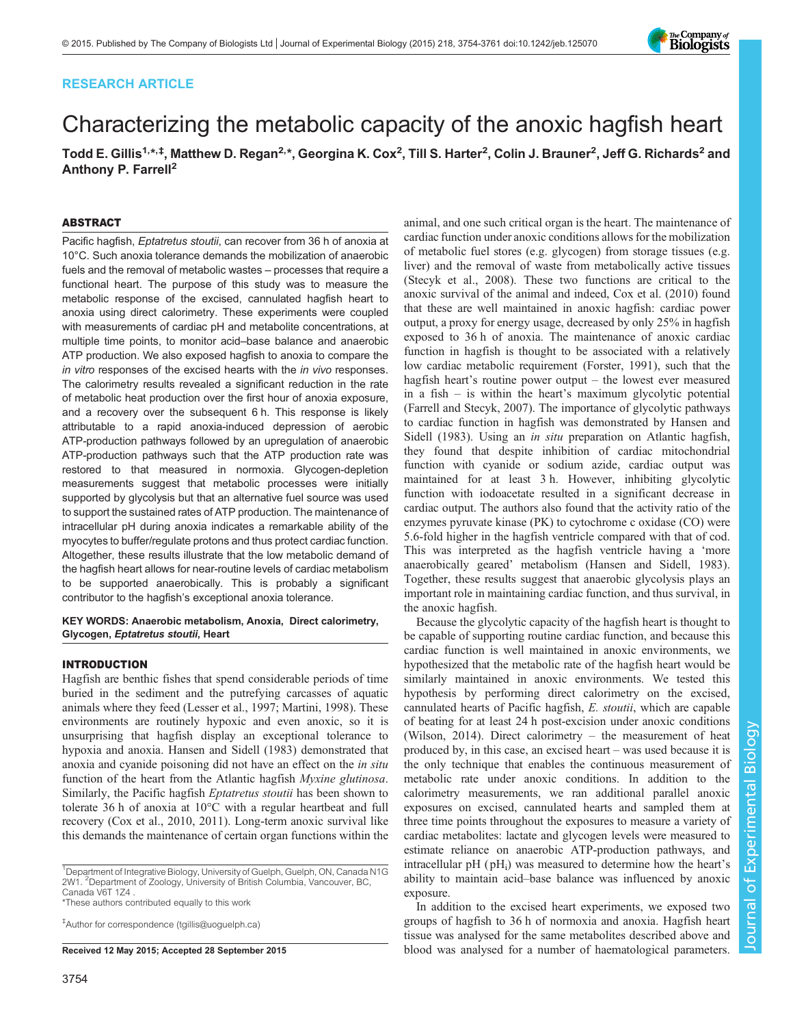## RESEARCH ARTICLE

# Characterizing the metabolic capacity of the anoxic hagfish heart

Todd E. Gillis<sup>1,\*,‡</sup>, Matthew D. Regan<sup>2,\*</sup>, Georgina K. Cox<sup>2</sup>, Till S. Harter<sup>2</sup>, Colin J. Brauner<sup>2</sup>, Jeff G. Richards<sup>2</sup> and Anthony P. Farrell<sup>2</sup>

## ABSTRACT

Pacific hagfish, Eptatretus stoutii, can recover from 36 h of anoxia at 10°C. Such anoxia tolerance demands the mobilization of anaerobic fuels and the removal of metabolic wastes – processes that require a functional heart. The purpose of this study was to measure the metabolic response of the excised, cannulated hagfish heart to anoxia using direct calorimetry. These experiments were coupled with measurements of cardiac pH and metabolite concentrations, at multiple time points, to monitor acid–base balance and anaerobic ATP production. We also exposed hagfish to anoxia to compare the in vitro responses of the excised hearts with the in vivo responses. The calorimetry results revealed a significant reduction in the rate of metabolic heat production over the first hour of anoxia exposure, and a recovery over the subsequent 6 h. This response is likely attributable to a rapid anoxia-induced depression of aerobic ATP-production pathways followed by an upregulation of anaerobic ATP-production pathways such that the ATP production rate was restored to that measured in normoxia. Glycogen-depletion measurements suggest that metabolic processes were initially supported by glycolysis but that an alternative fuel source was used to support the sustained rates of ATP production. The maintenance of intracellular pH during anoxia indicates a remarkable ability of the myocytes to buffer/regulate protons and thus protect cardiac function. Altogether, these results illustrate that the low metabolic demand of the hagfish heart allows for near-routine levels of cardiac metabolism to be supported anaerobically. This is probably a significant contributor to the hagfish's exceptional anoxia tolerance.

KEY WORDS: Anaerobic metabolism, Anoxia, Direct calorimetry, Glycogen, Eptatretus stoutii, Heart

## INTRODUCTION

Hagfish are benthic fishes that spend considerable periods of time buried in the sediment and the putrefying carcasses of aquatic animals where they feed ([Lesser et al., 1997; Martini, 1998\)](#page-7-0). These environments are routinely hypoxic and even anoxic, so it is unsurprising that hagfish display an exceptional tolerance to hypoxia and anoxia. [Hansen and Sidell \(1983](#page-7-0)) demonstrated that anoxia and cyanide poisoning did not have an effect on the in situ function of the heart from the Atlantic hagfish *Myxine glutinosa*. Similarly, the Pacific hagfish Eptatretus stoutii has been shown to tolerate 36 h of anoxia at 10°C with a regular heartbeat and full recovery [\(Cox et al., 2010, 2011\)](#page-7-0). Long-term anoxic survival like this demands the maintenance of certain organ functions within the

<sup>1</sup>Department of Integrative Biology, University of Guelph, Guelph, ON, Canada N1G 2W1. <sup>2</sup> Department of Zoology, University of British Columbia, Vancouver, BC, Canada V6T 1Z4 .

\*These authors contributed equally to this work

‡ Author for correspondence ([tgillis@uoguelph.ca\)](mailto:tgillis@uoguelph.ca)

animal, and one such critical organ is the heart. The maintenance of cardiac function under anoxic conditions allows for the mobilization of metabolic fuel stores (e.g. glycogen) from storage tissues (e.g. liver) and the removal of waste from metabolically active tissues [\(Stecyk et al., 2008\)](#page-7-0). These two functions are critical to the anoxic survival of the animal and indeed, [Cox et al. \(2010\)](#page-7-0) found that these are well maintained in anoxic hagfish: cardiac power output, a proxy for energy usage, decreased by only 25% in hagfish exposed to 36 h of anoxia. The maintenance of anoxic cardiac function in hagfish is thought to be associated with a relatively low cardiac metabolic requirement [\(Forster, 1991\)](#page-7-0), such that the hagfish heart's routine power output – the lowest ever measured in a fish – is within the heart's maximum glycolytic potential [\(Farrell and Stecyk, 2007](#page-7-0)). The importance of glycolytic pathways to cardiac function in hagfish was demonstrated by [Hansen and](#page-7-0) [Sidell \(1983](#page-7-0)). Using an *in situ* preparation on Atlantic hagfish, they found that despite inhibition of cardiac mitochondrial function with cyanide or sodium azide, cardiac output was maintained for at least 3 h. However, inhibiting glycolytic function with iodoacetate resulted in a significant decrease in cardiac output. The authors also found that the activity ratio of the enzymes pyruvate kinase (PK) to cytochrome c oxidase (CO) were 5.6-fold higher in the hagfish ventricle compared with that of cod. This was interpreted as the hagfish ventricle having a 'more anaerobically geared' metabolism [\(Hansen and Sidell, 1983\)](#page-7-0). Together, these results suggest that anaerobic glycolysis plays an important role in maintaining cardiac function, and thus survival, in the anoxic hagfish.

Because the glycolytic capacity of the hagfish heart is thought to be capable of supporting routine cardiac function, and because this cardiac function is well maintained in anoxic environments, we hypothesized that the metabolic rate of the hagfish heart would be similarly maintained in anoxic environments. We tested this hypothesis by performing direct calorimetry on the excised, cannulated hearts of Pacific hagfish, E. stoutii, which are capable of beating for at least 24 h post-excision under anoxic conditions [\(Wilson, 2014](#page-7-0)). Direct calorimetry – the measurement of heat produced by, in this case, an excised heart – was used because it is the only technique that enables the continuous measurement of metabolic rate under anoxic conditions. In addition to the calorimetry measurements, we ran additional parallel anoxic exposures on excised, cannulated hearts and sampled them at three time points throughout the exposures to measure a variety of cardiac metabolites: lactate and glycogen levels were measured to estimate reliance on anaerobic ATP-production pathways, and intracellular  $pH$  ( $pH_i$ ) was measured to determine how the heart's ability to maintain acid–base balance was influenced by anoxic exposure.

In addition to the excised heart experiments, we exposed two groups of hagfish to 36 h of normoxia and anoxia. Hagfish heart tissue was analysed for the same metabolites described above and Received 12 May 2015; Accepted 28 September 2015 blood was analysed for a number of haematological parameters.

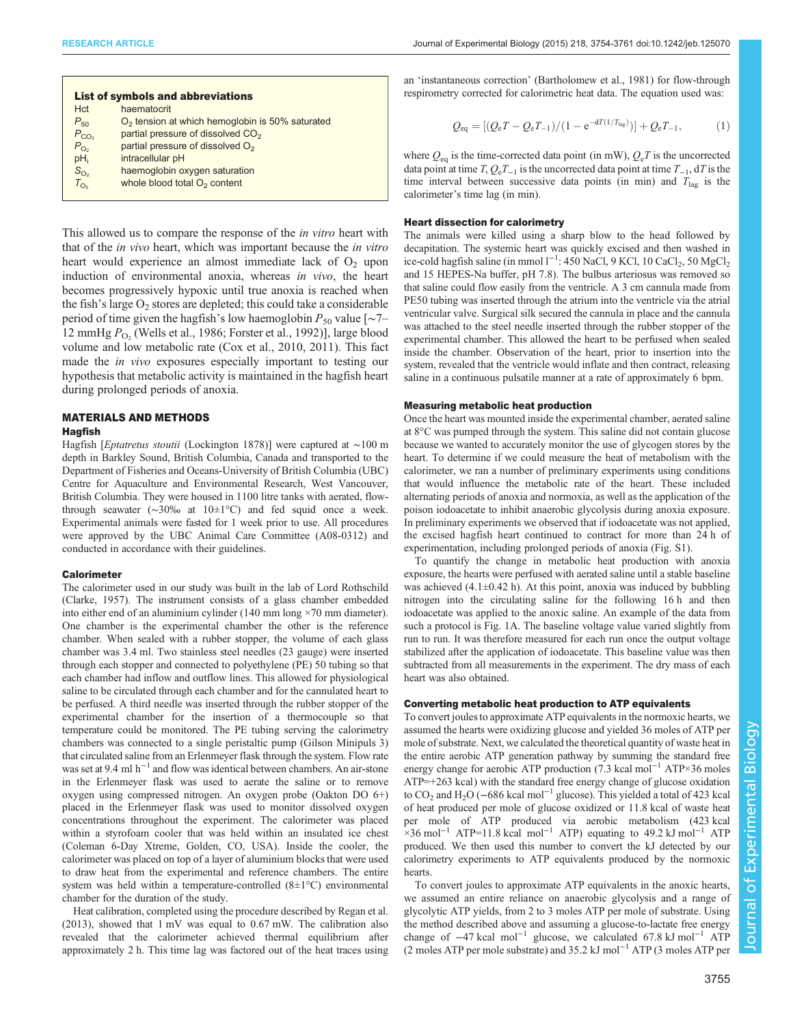| Journal of Experimental Biology (2015) 218, 3754-3761 doi:10.1242/jeb.125070 |  |  |  |  |  |  |
|------------------------------------------------------------------------------|--|--|--|--|--|--|
|------------------------------------------------------------------------------|--|--|--|--|--|--|

| <b>List of symbols and abbreviations</b> |                                                   |  |  |  |  |
|------------------------------------------|---------------------------------------------------|--|--|--|--|
| <b>Hct</b>                               | haematocrit                                       |  |  |  |  |
| $P_{50}$                                 | $O2$ tension at which hemoglobin is 50% saturated |  |  |  |  |
| $P_{CO2}$                                | partial pressure of dissolved CO <sub>2</sub>     |  |  |  |  |
| $P_{\text{O}_2}$                         | partial pressure of dissolved $O2$                |  |  |  |  |
| pH <sub>i</sub>                          | intracellular pH                                  |  |  |  |  |
| $S_{\text{O}_2}$                         | haemoglobin oxygen saturation                     |  |  |  |  |
| $T_{\text{O}_2}$                         | whole blood total $O2$ content                    |  |  |  |  |
|                                          |                                                   |  |  |  |  |

This allowed us to compare the response of the in vitro heart with that of the in vivo heart, which was important because the in vitro heart would experience an almost immediate lack of  $O<sub>2</sub>$  upon induction of environmental anoxia, whereas in vivo, the heart becomes progressively hypoxic until true anoxia is reached when the fish's large  $O_2$  stores are depleted; this could take a considerable period of time given the hagfish's low haemoglobin  $P_{50}$  value [∼7– 12 mmHg  $P_{\text{O}_2}$  ([Wells et al., 1986](#page-7-0); [Forster et al., 1992\)](#page-7-0)], large blood volume and low metabolic rate [\(Cox et al., 2010, 2011](#page-7-0)). This fact made the *in vivo* exposures especially important to testing our hypothesis that metabolic activity is maintained in the hagfish heart during prolonged periods of anoxia.

#### MATERIALS AND METHODS

## **Hagfish**

Hagfish [Eptatretus stoutii (Lockington 1878)] were captured at <sup>∼</sup>100 m depth in Barkley Sound, British Columbia, Canada and transported to the Department of Fisheries and Oceans-University of British Columbia (UBC) Centre for Aquaculture and Environmental Research, West Vancouver, British Columbia. They were housed in 1100 litre tanks with aerated, flowthrough seawater (∼30‰ at 10±1°C) and fed squid once a week. Experimental animals were fasted for 1 week prior to use. All procedures were approved by the UBC Animal Care Committee (A08-0312) and conducted in accordance with their guidelines.

#### **Calorimeter**

The calorimeter used in our study was built in the lab of Lord Rothschild ([Clarke, 1957](#page-7-0)). The instrument consists of a glass chamber embedded into either end of an aluminium cylinder (140 mm long ×70 mm diameter). One chamber is the experimental chamber the other is the reference chamber. When sealed with a rubber stopper, the volume of each glass chamber was 3.4 ml. Two stainless steel needles (23 gauge) were inserted through each stopper and connected to polyethylene (PE) 50 tubing so that each chamber had inflow and outflow lines. This allowed for physiological saline to be circulated through each chamber and for the cannulated heart to be perfused. A third needle was inserted through the rubber stopper of the experimental chamber for the insertion of a thermocouple so that temperature could be monitored. The PE tubing serving the calorimetry chambers was connected to a single peristaltic pump (Gilson Minipuls 3) that circulated saline from an Erlenmeyer flask through the system. Flow rate was set at 9.4 ml  $h^{-1}$  and flow was identical between chambers. An air-stone in the Erlenmeyer flask was used to aerate the saline or to remove oxygen using compressed nitrogen. An oxygen probe (Oakton DO 6+) placed in the Erlenmeyer flask was used to monitor dissolved oxygen concentrations throughout the experiment. The calorimeter was placed within a styrofoam cooler that was held within an insulated ice chest (Coleman 6-Day Xtreme, Golden, CO, USA). Inside the cooler, the calorimeter was placed on top of a layer of aluminium blocks that were used to draw heat from the experimental and reference chambers. The entire system was held within a temperature-controlled (8±1°C) environmental chamber for the duration of the study.

Heat calibration, completed using the procedure described by [Regan et al.](#page-7-0) [\(2013\)](#page-7-0), showed that 1 mV was equal to 0.67 mW. The calibration also revealed that the calorimeter achieved thermal equilibrium after approximately 2 h. This time lag was factored out of the heat traces using

an 'instantaneous correction' ([Bartholomew et al., 1981](#page-7-0)) for flow-through respirometry corrected for calorimetric heat data. The equation used was:

$$
Q_{\text{eq}} = [(Q_{\text{e}}T - Q_{\text{e}}T_{-1})/(1 - e^{-dT(1/T_{\text{lag}})})] + Q_{\text{e}}T_{-1}, \tag{1}
$$

where  $Q_{eq}$  is the time-corrected data point (in mW),  $Q_eT$  is the uncorrected data point at time  $T$ ,  $Q_eT_{-1}$  is the uncorrected data point at time  $T_{-1}$ , dT is the time interval between successive data points (in min) and  $T_{\text{lag}}$  is the calorimeter's time lag (in min).

#### Heart dissection for calorimetry

The animals were killed using a sharp blow to the head followed by decapitation. The systemic heart was quickly excised and then washed in ice-cold hagfish saline (in mmol  $l^{-1}$ : 450 NaCl, 9 KCl, 10 CaCl<sub>2</sub>, 50 MgCl<sub>2</sub> and 15 HEPES-Na buffer, pH 7.8). The bulbus arteriosus was removed so that saline could flow easily from the ventricle. A 3 cm cannula made from PE50 tubing was inserted through the atrium into the ventricle via the atrial ventricular valve. Surgical silk secured the cannula in place and the cannula was attached to the steel needle inserted through the rubber stopper of the experimental chamber. This allowed the heart to be perfused when sealed inside the chamber. Observation of the heart, prior to insertion into the system, revealed that the ventricle would inflate and then contract, releasing saline in a continuous pulsatile manner at a rate of approximately 6 bpm.

#### Measuring metabolic heat production

Once the heart was mounted inside the experimental chamber, aerated saline at 8°C was pumped through the system. This saline did not contain glucose because we wanted to accurately monitor the use of glycogen stores by the heart. To determine if we could measure the heat of metabolism with the calorimeter, we ran a number of preliminary experiments using conditions that would influence the metabolic rate of the heart. These included alternating periods of anoxia and normoxia, as well as the application of the poison iodoacetate to inhibit anaerobic glycolysis during anoxia exposure. In preliminary experiments we observed that if iodoacetate was not applied, the excised hagfish heart continued to contract for more than 24 h of experimentation, including prolonged periods of anoxia [\(Fig. S1\)](http://jeb.biologists.org/lookup/suppl/doi:10.1242/jeb.125070/-/DC1).

To quantify the change in metabolic heat production with anoxia exposure, the hearts were perfused with aerated saline until a stable baseline was achieved  $(4.1\pm0.42 \text{ h})$ . At this point, anoxia was induced by bubbling nitrogen into the circulating saline for the following 16 h and then iodoacetate was applied to the anoxic saline. An example of the data from such a protocol is [Fig. 1A](#page-2-0). The baseline voltage value varied slightly from run to run. It was therefore measured for each run once the output voltage stabilized after the application of iodoacetate. This baseline value was then subtracted from all measurements in the experiment. The dry mass of each heart was also obtained.

#### Converting metabolic heat production to ATP equivalents

To convert joules to approximate ATP equivalents in the normoxic hearts, we assumed the hearts were oxidizing glucose and yielded 36 moles of ATP per mole of substrate. Next, we calculated the theoretical quantity of waste heat in the entire aerobic ATP generation pathway by summing the standard free energy change for aerobic ATP production (7.3 kcal mol<sup>-1</sup> ATP×36 moles ATP=+263 kcal) with the standard free energy change of glucose oxidation to CO<sub>2</sub> and H<sub>2</sub>O (−686 kcal mol<sup>-1</sup> glucose). This yielded a total of 423 kcal of heat produced per mole of glucose oxidized or 11.8 kcal of waste heat per mole of ATP produced via aerobic metabolism (423 kcal  $\frac{1}{2}$  ×36 mol<sup>-1</sup> ATP=11.8 kcal mol<sup>-1</sup> ATP) equating to 49.2 kJ mol<sup>-1</sup> ATP produced. We then used this number to convert the kJ detected by our calorimetry experiments to ATP equivalents produced by the normoxic hearts.

To convert joules to approximate ATP equivalents in the anoxic hearts, we assumed an entire reliance on anaerobic glycolysis and a range of glycolytic ATP yields, from 2 to 3 moles ATP per mole of substrate. Using the method described above and assuming a glucose-to-lactate free energy change of  $-47$  kcal mol<sup>-1</sup> glucose, we calculated 67.8 kJ mol<sup>-1</sup> ATP (2 moles ATP per mole substrate) and 35.2 kJ mol−<sup>1</sup> ATP (3 moles ATP per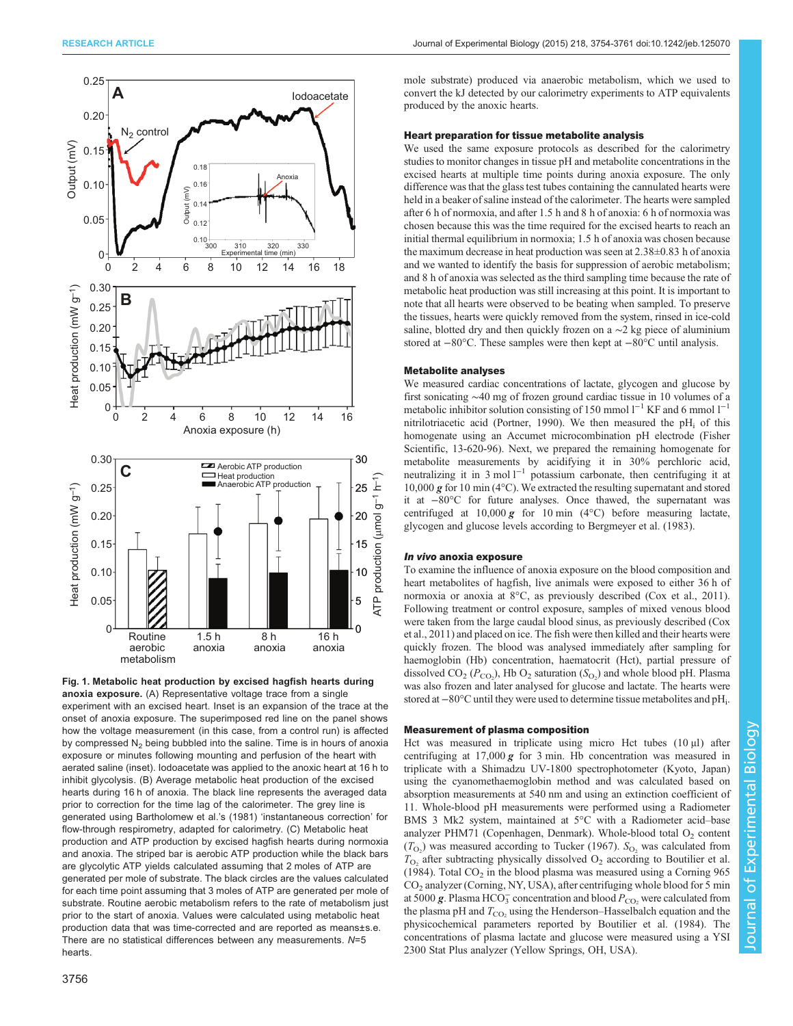<span id="page-2-0"></span>

Fig. 1. Metabolic heat production by excised hagfish hearts during anoxia exposure. (A) Representative voltage trace from a single experiment with an excised heart. Inset is an expansion of the trace at the onset of anoxia exposure. The superimposed red line on the panel shows how the voltage measurement (in this case, from a control run) is affected by compressed  $N_2$  being bubbled into the saline. Time is in hours of anoxia exposure or minutes following mounting and perfusion of the heart with aerated saline (inset). Iodoacetate was applied to the anoxic heart at 16 h to inhibit glycolysis. (B) Average metabolic heat production of the excised hearts during 16 h of anoxia. The black line represents the averaged data prior to correction for the time lag of the calorimeter. The grey line is generated using [Bartholomew et al.](#page-7-0)'s (1981) 'instantaneous correction' for flow-through respirometry, adapted for calorimetry. (C) Metabolic heat production and ATP production by excised hagfish hearts during normoxia and anoxia. The striped bar is aerobic ATP production while the black bars are glycolytic ATP yields calculated assuming that 2 moles of ATP are generated per mole of substrate. The black circles are the values calculated for each time point assuming that 3 moles of ATP are generated per mole of substrate. Routine aerobic metabolism refers to the rate of metabolism just prior to the start of anoxia. Values were calculated using metabolic heat production data that was time-corrected and are reported as means±s.e. There are no statistical differences between any measurements. N=5 hearts.

mole substrate) produced via anaerobic metabolism, which we used to convert the kJ detected by our calorimetry experiments to ATP equivalents produced by the anoxic hearts.

### Heart preparation for tissue metabolite analysis

We used the same exposure protocols as described for the calorimetry studies to monitor changes in tissue pH and metabolite concentrations in the excised hearts at multiple time points during anoxia exposure. The only difference was that the glass test tubes containing the cannulated hearts were held in a beaker of saline instead of the calorimeter. The hearts were sampled after 6 h of normoxia, and after 1.5 h and 8 h of anoxia: 6 h of normoxia was chosen because this was the time required for the excised hearts to reach an initial thermal equilibrium in normoxia; 1.5 h of anoxia was chosen because the maximum decrease in heat production was seen at 2.38±0.83 h of anoxia and we wanted to identify the basis for suppression of aerobic metabolism; and 8 h of anoxia was selected as the third sampling time because the rate of metabolic heat production was still increasing at this point. It is important to note that all hearts were observed to be beating when sampled. To preserve the tissues, hearts were quickly removed from the system, rinsed in ice-cold saline, blotted dry and then quickly frozen on a ∼2 kg piece of aluminium stored at −80°C. These samples were then kept at −80°C until analysis.

#### Metabolite analyses

We measured cardiac concentrations of lactate, glycogen and glucose by first sonicating ∼40 mg of frozen ground cardiac tissue in 10 volumes of a metabolic inhibitor solution consisting of 150 mmol  $l^{-1}$  KF and 6 mmol  $l^{-1}$ nitrilotriacetic acid ([Portner, 1990](#page-7-0)). We then measured the  $pH_i$  of this homogenate using an Accumet microcombination pH electrode (Fisher Scientific, 13-620-96). Next, we prepared the remaining homogenate for metabolite measurements by acidifying it in 30% perchloric acid, neutralizing it in 3 mol l−<sup>1</sup> potassium carbonate, then centrifuging it at 10,000 g for 10 min (4°C). We extracted the resulting supernatant and stored it at −80°C for future analyses. Once thawed, the supernatant was centrifuged at  $10,000$  g for  $10$  min (4°C) before measuring lactate, glycogen and glucose levels according to [Bergmeyer et al. \(1983](#page-7-0)).

### In vivo anoxia exposure

To examine the influence of anoxia exposure on the blood composition and heart metabolites of hagfish, live animals were exposed to either 36 h of normoxia or anoxia at 8°C, as previously described [\(Cox et al., 2011](#page-7-0)). Following treatment or control exposure, samples of mixed venous blood were taken from the large caudal blood sinus, as previously described [\(Cox](#page-7-0) [et al., 2011](#page-7-0)) and placed on ice. The fish were then killed and their hearts were quickly frozen. The blood was analysed immediately after sampling for haemoglobin (Hb) concentration, haematocrit (Hct), partial pressure of dissolved  $CO_2$  ( $P_{CO_2}$ ), Hb  $O_2$  saturation ( $S_{O_2}$ ) and whole blood pH. Plasma<br>was also frozen and later analysed for glucose and lactate. The hearts were was also frozen and later analysed for glucose and lactate. The hearts were stored at –80°C until they were used to determine tissue metabolites and pH<sub>i</sub>.

#### Measurement of plasma composition

Hct was measured in triplicate using micro Hct tubes (10 μl) after centrifuging at  $17,000\ g$  for 3 min. Hb concentration was measured in triplicate with a Shimadzu UV-1800 spectrophotometer (Kyoto, Japan) using the cyanomethaemoglobin method and was calculated based on absorption measurements at 540 nm and using an extinction coefficient of 11. Whole-blood pH measurements were performed using a Radiometer BMS 3 Mk2 system, maintained at 5°C with a Radiometer acid–base analyzer PHM71 (Copenhagen, Denmark). Whole-blood total O<sub>2</sub> content  $(T<sub>O</sub>)$  was measured according to [Tucker \(1967\)](#page-7-0).  $S<sub>O<sub>2</sub></sub>$  was calculated from  $T<sub>C</sub>$  after subtracting physically dissolved  $O<sub>C</sub>$  according to Boutilier et al.  $T_{\text{O}_2}$  after subtracting physically dissolved  $\text{O}_2$  according to [Boutilier et al.](#page-7-0) [\(1984\)](#page-7-0). Total  $CO<sub>2</sub>$  in the blood plasma was measured using a Corning 965 CO<sub>2</sub> analyzer (Corning, NY, USA), after centrifuging whole blood for 5 min at 5000 g. Plasma HCO<sub>3</sub> concentration and blood  $P_{CO_2}$  were calculated from<br>the plasma pH and  $T_{CO}$  using the Henderson–Hasselbalch equation and the the plasma pH and  $T_{\text{CO}_2}$  using the Henderson–Hasselbalch equation and the physicochemical parameters reported by [Boutilier et al. \(1984\)](#page-7-0). The concentrations of plasma lactate and glucose were measured using a YSI 2300 Stat Plus analyzer (Yellow Springs, OH, USA).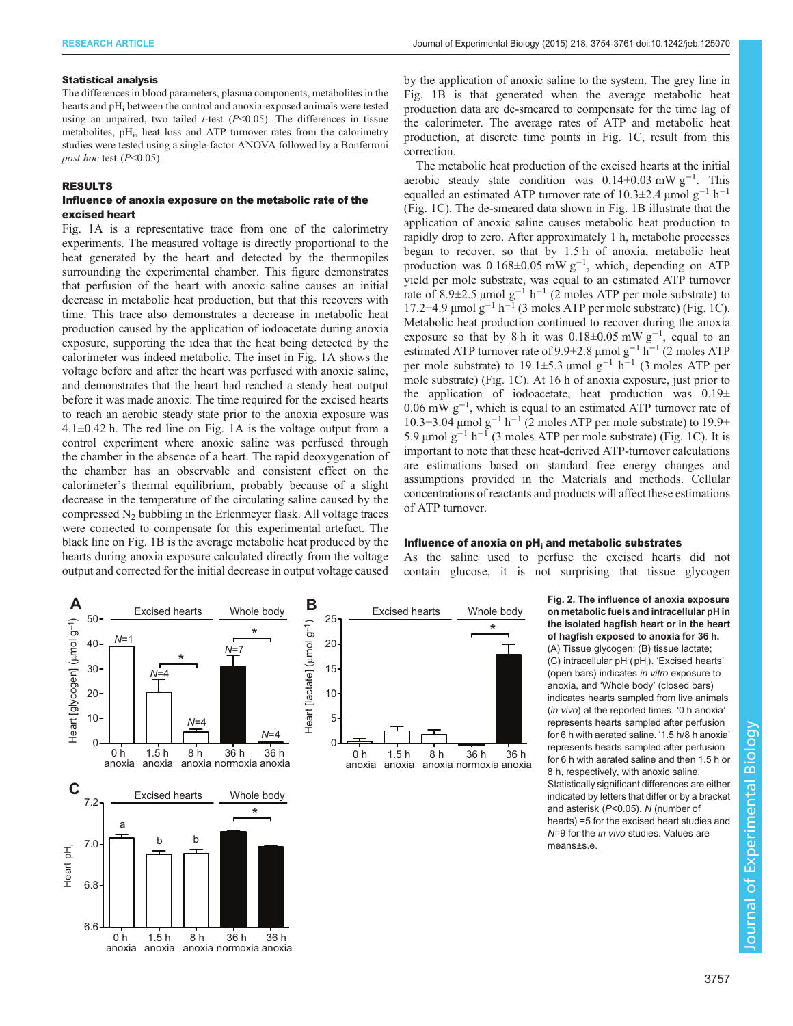#### <span id="page-3-0"></span>Statistical analysis

The differences in blood parameters, plasma components, metabolites in the hearts and pH<sub>i</sub> between the control and anoxia-exposed animals were tested using an unpaired, two tailed  $t$ -test ( $P$  < 0.05). The differences in tissue metabolites, pH<sub>i</sub>, heat loss and ATP turnover rates from the calorimetry studies were tested using a single-factor ANOVA followed by a Bonferroni post hoc test  $(P<0.05)$ .

### RESULTS

#### Influence of anoxia exposure on the metabolic rate of the excised heart

[Fig. 1A](#page-2-0) is a representative trace from one of the calorimetry experiments. The measured voltage is directly proportional to the heat generated by the heart and detected by the thermopiles surrounding the experimental chamber. This figure demonstrates that perfusion of the heart with anoxic saline causes an initial decrease in metabolic heat production, but that this recovers with time. This trace also demonstrates a decrease in metabolic heat production caused by the application of iodoacetate during anoxia exposure, supporting the idea that the heat being detected by the calorimeter was indeed metabolic. The inset in [Fig. 1A](#page-2-0) shows the voltage before and after the heart was perfused with anoxic saline, and demonstrates that the heart had reached a steady heat output before it was made anoxic. The time required for the excised hearts to reach an aerobic steady state prior to the anoxia exposure was 4.1±0.42 h. The red line on [Fig. 1](#page-2-0)A is the voltage output from a control experiment where anoxic saline was perfused through the chamber in the absence of a heart. The rapid deoxygenation of the chamber has an observable and consistent effect on the calorimeter's thermal equilibrium, probably because of a slight decrease in the temperature of the circulating saline caused by the compressed  $N_2$  bubbling in the Erlenmeyer flask. All voltage traces were corrected to compensate for this experimental artefact. The black line on [Fig. 1B](#page-2-0) is the average metabolic heat produced by the hearts during anoxia exposure calculated directly from the voltage output and corrected for the initial decrease in output voltage caused

by the application of anoxic saline to the system. The grey line in Fig. 1B is that generated when the average metabolic heat production data are de-smeared to compensate for the time lag of the calorimeter. The average rates of ATP and metabolic heat production, at discrete time points in [Fig. 1](#page-2-0)C, result from this correction.

The metabolic heat production of the excised hearts at the initial aerobic steady state condition was 0.14±0.03 mW g−<sup>1</sup> . This equalled an estimated ATP turnover rate of 10.3 $\pm$ 2.4 µmol g<sup>-1</sup> h<sup>-1</sup> [\(Fig. 1](#page-2-0)C). The de-smeared data shown in [Fig. 1](#page-2-0)B illustrate that the application of anoxic saline causes metabolic heat production to rapidly drop to zero. After approximately 1 h, metabolic processes began to recover, so that by 1.5 h of anoxia, metabolic heat production was  $0.168 \pm 0.05$  mW g<sup>-1</sup>, which, depending on ATP yield per mole substrate, was equal to an estimated ATP turnover rate of 8.9±2.5 µmol  $g^{-1}$  h<sup>-1</sup> (2 moles ATP per mole substrate) to 17.2±4.9 µmol g−<sup>1</sup> h−<sup>1</sup> (3 moles ATP per mole substrate) [\(Fig. 1](#page-2-0)C). Metabolic heat production continued to recover during the anoxia exposure so that by 8 h it was  $0.18 \pm 0.05$  mW g<sup>-1</sup>, equal to an estimated ATP turnover rate of 9.9±2.8 µmol g−<sup>1</sup> h−<sup>1</sup> (2 moles ATP per mole substrate) to 19.1±5.3 µmol  $g^{-1}$  h<sup>-1</sup> (3 moles ATP per mole substrate) ([Fig. 1](#page-2-0)C). At 16 h of anoxia exposure, just prior to the application of iodoacetate, heat production was  $0.19\pm$ 0.06 mW g−<sup>1</sup> , which is equal to an estimated ATP turnover rate of 10.3±3.04 µmol g<sup>-1</sup> h<sup>-1</sup> (2 moles ATP per mole substrate) to 19.9± 5.9 μmol g<sup>-1</sup> h<sup>-1</sup> (3 moles ATP per mole substrate) ([Fig. 1](#page-2-0)C). It is important to note that these heat-derived ATP-turnover calculations are estimations based on standard free energy changes and assumptions provided in the Materials and methods. Cellular concentrations of reactants and products will affect these estimations of ATP turnover.

#### Influence of anoxia on  $pH<sub>i</sub>$  and metabolic substrates

\*

36 h

As the saline used to perfuse the excised hearts did not contain glucose, it is not surprising that tissue glycogen



Fig. 2. The influence of anoxia exposure on metabolic fuels and intracellular pH in the isolated hagfish heart or in the heart of hagfish exposed to anoxia for 36 h. (A) Tissue glycogen; (B) tissue lactate; (C) intracellular pH (pH<sub>i</sub>). 'Excised hearts' (open bars) indicates in vitro exposure to anoxia, and 'Whole body' (closed bars) indicates hearts sampled from live animals (in vivo) at the reported times. '0 h anoxia' represents hearts sampled after perfusion for 6 h with aerated saline. '1.5 h/8 h anoxia' represents hearts sampled after perfusion for 6 h with aerated saline and then 1.5 h or 8 h, respectively, with anoxic saline. Statistically significant differences are either indicated by letters that differ or by a bracket and asterisk (P<0.05). N (number of hearts) =5 for the excised heart studies and N=9 for the in vivo studies. Values are means+s e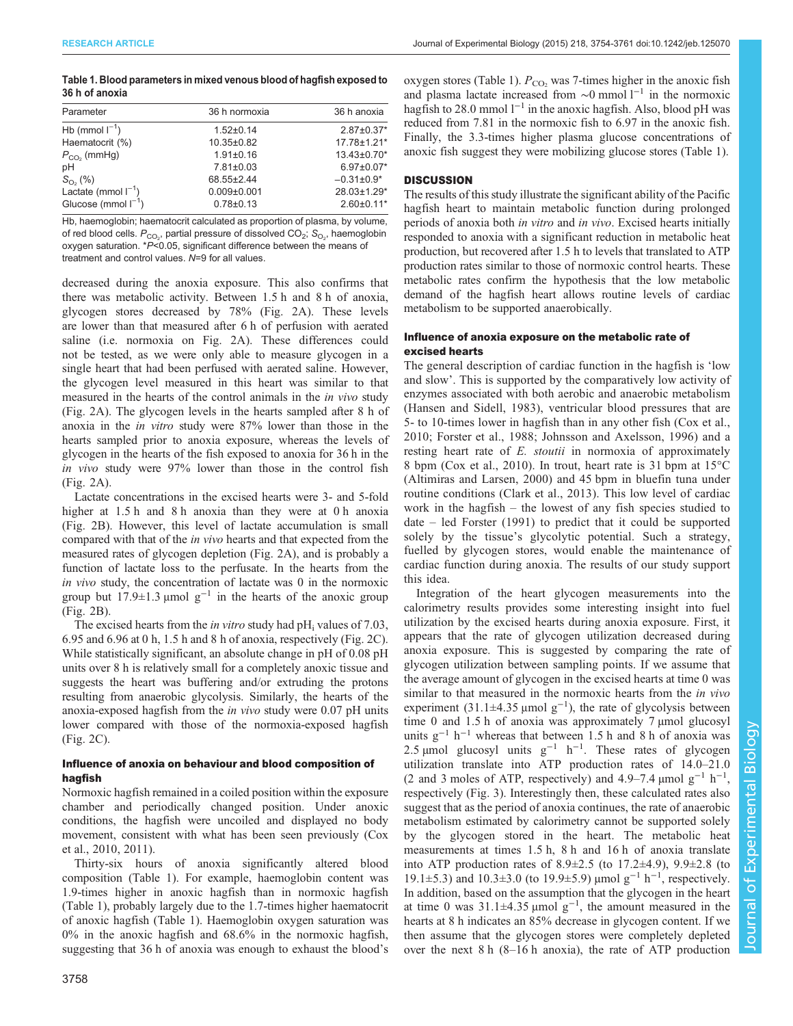| Table 1. Blood parameters in mixed venous blood of hagfish exposed to |
|-----------------------------------------------------------------------|
| 36 h of anoxia                                                        |

| Parameter                | 36 h normoxia    | 36 h anoxia       |  |  |  |
|--------------------------|------------------|-------------------|--|--|--|
| Hb (mmol $I^{-1}$ )      | $1.52 \pm 0.14$  | $2.87 \pm 0.37$ * |  |  |  |
| Haematocrit (%)          | $10.35 \pm 0.82$ | 17.78±1.21*       |  |  |  |
| $P_{CO2}$ (mmHg)         | $1.91 \pm 0.16$  | $13.43\pm0.70*$   |  |  |  |
| pH                       | $7.81 \pm 0.03$  | $6.97 \pm 0.07*$  |  |  |  |
| $S_{\text{O}_2}$ (%)     | 68.55±2.44       | $-0.31\pm0.9*$    |  |  |  |
| Lactate (mmol $I^{-1}$ ) | $0.009 + 0.001$  | 28.03±1.29*       |  |  |  |
| Glucose (mmol $I^{-1}$ ) | $0.78 \pm 0.13$  | $2.60 \pm 0.11$ * |  |  |  |
|                          |                  |                   |  |  |  |

Hb, haemoglobin; haematocrit calculated as proportion of plasma, by volume, of red blood cells.  $P_{\mathrm{CO}_2}$ , partial pressure of dissolved CO $_2$ ;  $\mathrm{S}_{\mathrm{O}_2}$ , haemoglobin oxygen saturation. \*P<0.05, significant difference between the means of treatment and control values. N=9 for all values.

decreased during the anoxia exposure. This also confirms that there was metabolic activity. Between 1.5 h and 8 h of anoxia, glycogen stores decreased by 78% ([Fig. 2](#page-3-0)A). These levels are lower than that measured after 6 h of perfusion with aerated saline (i.e. normoxia on [Fig. 2A](#page-3-0)). These differences could not be tested, as we were only able to measure glycogen in a single heart that had been perfused with aerated saline. However, the glycogen level measured in this heart was similar to that measured in the hearts of the control animals in the in vivo study [\(Fig. 2](#page-3-0)A). The glycogen levels in the hearts sampled after 8 h of anoxia in the in vitro study were 87% lower than those in the hearts sampled prior to anoxia exposure, whereas the levels of glycogen in the hearts of the fish exposed to anoxia for 36 h in the in vivo study were 97% lower than those in the control fish [\(Fig. 2](#page-3-0)A).

Lactate concentrations in the excised hearts were 3- and 5-fold higher at 1.5 h and 8 h anoxia than they were at 0 h anoxia [\(Fig. 2](#page-3-0)B). However, this level of lactate accumulation is small compared with that of the in vivo hearts and that expected from the measured rates of glycogen depletion [\(Fig. 2A](#page-3-0)), and is probably a function of lactate loss to the perfusate. In the hearts from the in vivo study, the concentration of lactate was 0 in the normoxic group but  $17.9 \pm 1.3$  µmol g<sup>-1</sup> in the hearts of the anoxic group [\(Fig. 2](#page-3-0)B).

The excised hearts from the *in vitro* study had  $pH_i$  values of 7.03, 6.95 and 6.96 at 0 h, 1.5 h and 8 h of anoxia, respectively [\(Fig. 2](#page-3-0)C). While statistically significant, an absolute change in pH of 0.08 pH units over 8 h is relatively small for a completely anoxic tissue and suggests the heart was buffering and/or extruding the protons resulting from anaerobic glycolysis. Similarly, the hearts of the anoxia-exposed hagfish from the in vivo study were 0.07 pH units lower compared with those of the normoxia-exposed hagfish [\(Fig. 2](#page-3-0)C).

## Influence of anoxia on behaviour and blood composition of hagfish

Normoxic hagfish remained in a coiled position within the exposure chamber and periodically changed position. Under anoxic conditions, the hagfish were uncoiled and displayed no body movement, consistent with what has been seen previously [\(Cox](#page-7-0) [et al., 2010, 2011\)](#page-7-0).

Thirty-six hours of anoxia significantly altered blood composition (Table 1). For example, haemoglobin content was 1.9-times higher in anoxic hagfish than in normoxic hagfish (Table 1), probably largely due to the 1.7-times higher haematocrit of anoxic hagfish (Table 1). Haemoglobin oxygen saturation was 0% in the anoxic hagfish and 68.6% in the normoxic hagfish, suggesting that 36 h of anoxia was enough to exhaust the blood's

oxygen stores (Table 1).  $P_{CO}$  was 7-times higher in the anoxic fish and plasma lactate increased from  $\sim$ 0 mmol l<sup>-1</sup> in the normoxic hagfish to 28.0 mmol  $l^{-1}$  in the anoxic hagfish. Also, blood pH was reduced from 7.81 in the normoxic fish to 6.97 in the anoxic fish. Finally, the 3.3-times higher plasma glucose concentrations of anoxic fish suggest they were mobilizing glucose stores (Table 1).

## **DISCUSSION**

The results of this study illustrate the significant ability of the Pacific hagfish heart to maintain metabolic function during prolonged periods of anoxia both in vitro and in vivo. Excised hearts initially responded to anoxia with a significant reduction in metabolic heat production, but recovered after 1.5 h to levels that translated to ATP production rates similar to those of normoxic control hearts. These metabolic rates confirm the hypothesis that the low metabolic demand of the hagfish heart allows routine levels of cardiac metabolism to be supported anaerobically.

## Influence of anoxia exposure on the metabolic rate of excised hearts

The general description of cardiac function in the hagfish is 'low and slow'. This is supported by the comparatively low activity of enzymes associated with both aerobic and anaerobic metabolism [\(Hansen and Sidell, 1983](#page-7-0)), ventricular blood pressures that are 5- to 10-times lower in hagfish than in any other fish ([Cox et al.,](#page-7-0) [2010](#page-7-0); [Forster et al., 1988](#page-7-0); [Johnsson and Axelsson, 1996](#page-7-0)) and a resting heart rate of E. *stoutii* in normoxia of approximately 8 bpm ([Cox et al., 2010\)](#page-7-0). In trout, heart rate is 31 bpm at 15°C [\(Altimiras and Larsen, 2000\)](#page-7-0) and 45 bpm in bluefin tuna under routine conditions ([Clark et al., 2013\)](#page-7-0). This low level of cardiac work in the hagfish – the lowest of any fish species studied to date – led [Forster \(1991](#page-7-0)) to predict that it could be supported solely by the tissue's glycolytic potential. Such a strategy, fuelled by glycogen stores, would enable the maintenance of cardiac function during anoxia. The results of our study support this idea.

Integration of the heart glycogen measurements into the calorimetry results provides some interesting insight into fuel utilization by the excised hearts during anoxia exposure. First, it appears that the rate of glycogen utilization decreased during anoxia exposure. This is suggested by comparing the rate of glycogen utilization between sampling points. If we assume that the average amount of glycogen in the excised hearts at time 0 was similar to that measured in the normoxic hearts from the *in vivo* experiment  $(31.1 \pm 4.35 \,\mu\text{mol g}^{-1})$ , the rate of glycolysis between time 0 and 1.5 h of anoxia was approximately 7 µmol glucosyl units  $g^{-1}$  h<sup>-1</sup> whereas that between 1.5 h and 8 h of anoxia was 2.5 µmol glucosyl units  $g^{-1}$  h<sup>-1</sup>. These rates of glycogen utilization translate into ATP production rates of 14.0–21.0 (2 and 3 moles of ATP, respectively) and 4.9–7.4 µmol  $g^{-1}$  h<sup>-1</sup>, respectively [\(Fig. 3\)](#page-5-0). Interestingly then, these calculated rates also suggest that as the period of anoxia continues, the rate of anaerobic metabolism estimated by calorimetry cannot be supported solely by the glycogen stored in the heart. The metabolic heat measurements at times 1.5 h, 8 h and 16 h of anoxia translate into ATP production rates of  $8.9 \pm 2.5$  (to  $17.2 \pm 4.9$ ),  $9.9 \pm 2.8$  (to 19.1±5.3) and 10.3±3.0 (to 19.9±5.9) µmol g−<sup>1</sup> h−<sup>1</sup> , respectively. In addition, based on the assumption that the glycogen in the heart at time 0 was  $31.1 \pm 4.35$  µmol g<sup>-1</sup>, the amount measured in the hearts at 8 h indicates an 85% decrease in glycogen content. If we then assume that the glycogen stores were completely depleted over the next 8 h (8–16 h anoxia), the rate of ATP production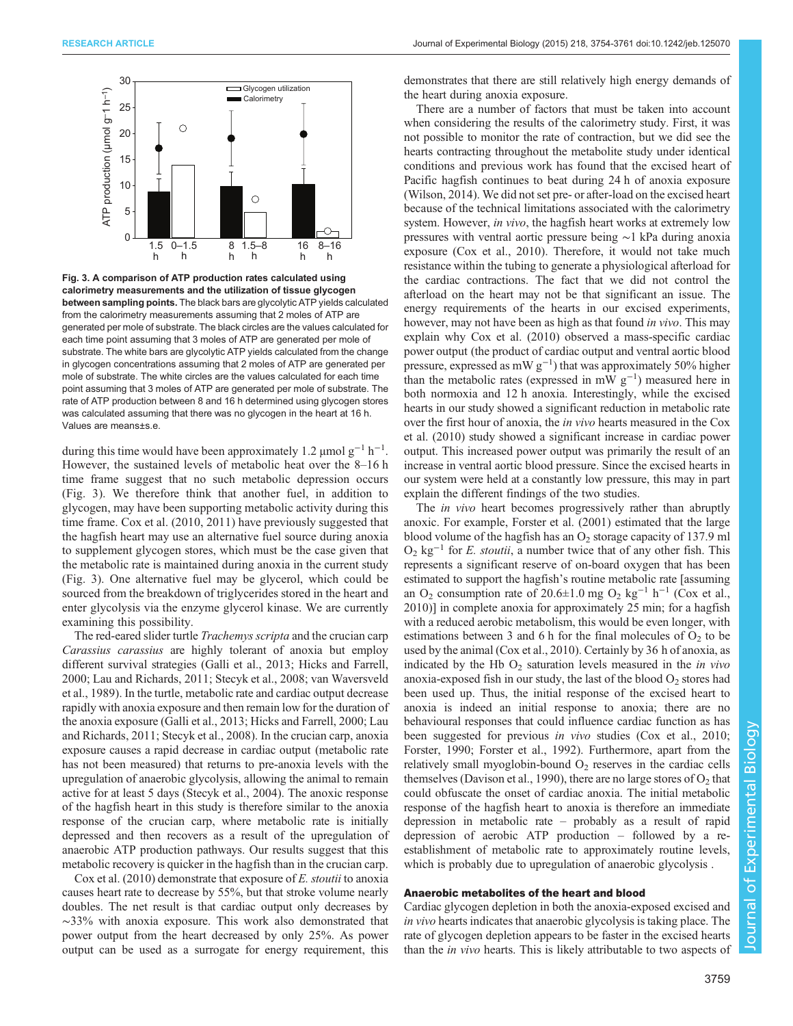<span id="page-5-0"></span>

Fig. 3. A comparison of ATP production rates calculated using calorimetry measurements and the utilization of tissue glycogen between sampling points. The black bars are glycolytic ATP yields calculated from the calorimetry measurements assuming that 2 moles of ATP are generated per mole of substrate. The black circles are the values calculated for each time point assuming that 3 moles of ATP are generated per mole of substrate. The white bars are glycolytic ATP yields calculated from the change in glycogen concentrations assuming that 2 moles of ATP are generated per mole of substrate. The white circles are the values calculated for each time point assuming that 3 moles of ATP are generated per mole of substrate. The rate of ATP production between 8 and 16 h determined using glycogen stores was calculated assuming that there was no glycogen in the heart at 16 h. Values are means±s.e.

during this time would have been approximately 1.2  $\mu$ mol g<sup>-1</sup> h<sup>-1</sup>. However, the sustained levels of metabolic heat over the 8–16 h time frame suggest that no such metabolic depression occurs (Fig. 3). We therefore think that another fuel, in addition to glycogen, may have been supporting metabolic activity during this time frame. [Cox et al. \(2010, 2011\)](#page-7-0) have previously suggested that the hagfish heart may use an alternative fuel source during anoxia to supplement glycogen stores, which must be the case given that the metabolic rate is maintained during anoxia in the current study (Fig. 3). One alternative fuel may be glycerol, which could be sourced from the breakdown of triglycerides stored in the heart and enter glycolysis via the enzyme glycerol kinase. We are currently examining this possibility.

The red-eared slider turtle *Trachemys scripta* and the crucian carp Carassius carassius are highly tolerant of anoxia but employ different survival strategies [\(Galli et al., 2013; Hicks and Farrell,](#page-7-0) [2000](#page-7-0); [Lau and Richards, 2011](#page-7-0); [Stecyk et al., 2008](#page-7-0); [van Waversveld](#page-7-0) [et al., 1989\)](#page-7-0). In the turtle, metabolic rate and cardiac output decrease rapidly with anoxia exposure and then remain low for the duration of the anoxia exposure [\(Galli et al., 2013; Hicks and Farrell, 2000; Lau](#page-7-0) [and Richards, 2011; Stecyk et al., 2008\)](#page-7-0). In the crucian carp, anoxia exposure causes a rapid decrease in cardiac output (metabolic rate has not been measured) that returns to pre-anoxia levels with the upregulation of anaerobic glycolysis, allowing the animal to remain active for at least 5 days ([Stecyk et al., 2004](#page-7-0)). The anoxic response of the hagfish heart in this study is therefore similar to the anoxia response of the crucian carp, where metabolic rate is initially depressed and then recovers as a result of the upregulation of anaerobic ATP production pathways. Our results suggest that this metabolic recovery is quicker in the hagfish than in the crucian carp.

[Cox et al. \(2010\)](#page-7-0) demonstrate that exposure of E. stoutii to anoxia causes heart rate to decrease by 55%, but that stroke volume nearly doubles. The net result is that cardiac output only decreases by ∼33% with anoxia exposure. This work also demonstrated that power output from the heart decreased by only 25%. As power output can be used as a surrogate for energy requirement, this

demonstrates that there are still relatively high energy demands of the heart during anoxia exposure.

There are a number of factors that must be taken into account when considering the results of the calorimetry study. First, it was not possible to monitor the rate of contraction, but we did see the hearts contracting throughout the metabolite study under identical conditions and previous work has found that the excised heart of Pacific hagfish continues to beat during 24 h of anoxia exposure [\(Wilson, 2014](#page-7-0)). We did not set pre- or after-load on the excised heart because of the technical limitations associated with the calorimetry system. However, in vivo, the hagfish heart works at extremely low pressures with ventral aortic pressure being ∼1 kPa during anoxia exposure ([Cox et al., 2010\)](#page-7-0). Therefore, it would not take much resistance within the tubing to generate a physiological afterload for the cardiac contractions. The fact that we did not control the afterload on the heart may not be that significant an issue. The energy requirements of the hearts in our excised experiments, however, may not have been as high as that found in vivo. This may explain why [Cox et al. \(2010](#page-7-0)) observed a mass-specific cardiac power output (the product of cardiac output and ventral aortic blood pressure, expressed as mW  $g^{-1}$ ) that was approximately 50% higher than the metabolic rates (expressed in mW  $g^{-1}$ ) measured here in both normoxia and 12 h anoxia. Interestingly, while the excised hearts in our study showed a significant reduction in metabolic rate over the first hour of anoxia, the in vivo hearts measured in the [Cox](#page-7-0) [et al. \(2010](#page-7-0)) study showed a significant increase in cardiac power output. This increased power output was primarily the result of an increase in ventral aortic blood pressure. Since the excised hearts in our system were held at a constantly low pressure, this may in part explain the different findings of the two studies.

The *in vivo* heart becomes progressively rather than abruptly anoxic. For example, [Forster et al. \(2001\)](#page-7-0) estimated that the large blood volume of the hagfish has an  $O<sub>2</sub>$  storage capacity of 137.9 ml  $O_2$  kg<sup>-1</sup> for *E. stoutii*, a number twice that of any other fish. This represents a significant reserve of on-board oxygen that has been estimated to support the hagfish's routine metabolic rate [assuming an O<sub>2</sub> consumption rate of 20.6±1.0 mg O<sub>2</sub> kg<sup>-1</sup> h<sup>-1</sup> ([Cox et al.,](#page-7-0) [2010\)](#page-7-0)] in complete anoxia for approximately 25 min; for a hagfish with a reduced aerobic metabolism, this would be even longer, with estimations between 3 and 6 h for the final molecules of  $O<sub>2</sub>$  to be used by the animal ([Cox et al., 2010\)](#page-7-0). Certainly by 36 h of anoxia, as indicated by the Hb  $O_2$  saturation levels measured in the *in vivo* anoxia-exposed fish in our study, the last of the blood  $O<sub>2</sub>$  stores had been used up. Thus, the initial response of the excised heart to anoxia is indeed an initial response to anoxia; there are no behavioural responses that could influence cardiac function as has been suggested for previous in vivo studies ([Cox et al., 2010](#page-7-0); [Forster, 1990; Forster et al., 1992](#page-7-0)). Furthermore, apart from the relatively small myoglobin-bound  $O<sub>2</sub>$  reserves in the cardiac cells themselves ([Davison et al., 1990\)](#page-7-0), there are no large stores of  $O<sub>2</sub>$  that could obfuscate the onset of cardiac anoxia. The initial metabolic response of the hagfish heart to anoxia is therefore an immediate depression in metabolic rate – probably as a result of rapid depression of aerobic ATP production – followed by a reestablishment of metabolic rate to approximately routine levels, which is probably due to upregulation of anaerobic glycolysis.

#### Anaerobic metabolites of the heart and blood

Cardiac glycogen depletion in both the anoxia-exposed excised and in vivo hearts indicates that anaerobic glycolysis is taking place. The rate of glycogen depletion appears to be faster in the excised hearts than the in vivo hearts. This is likely attributable to two aspects of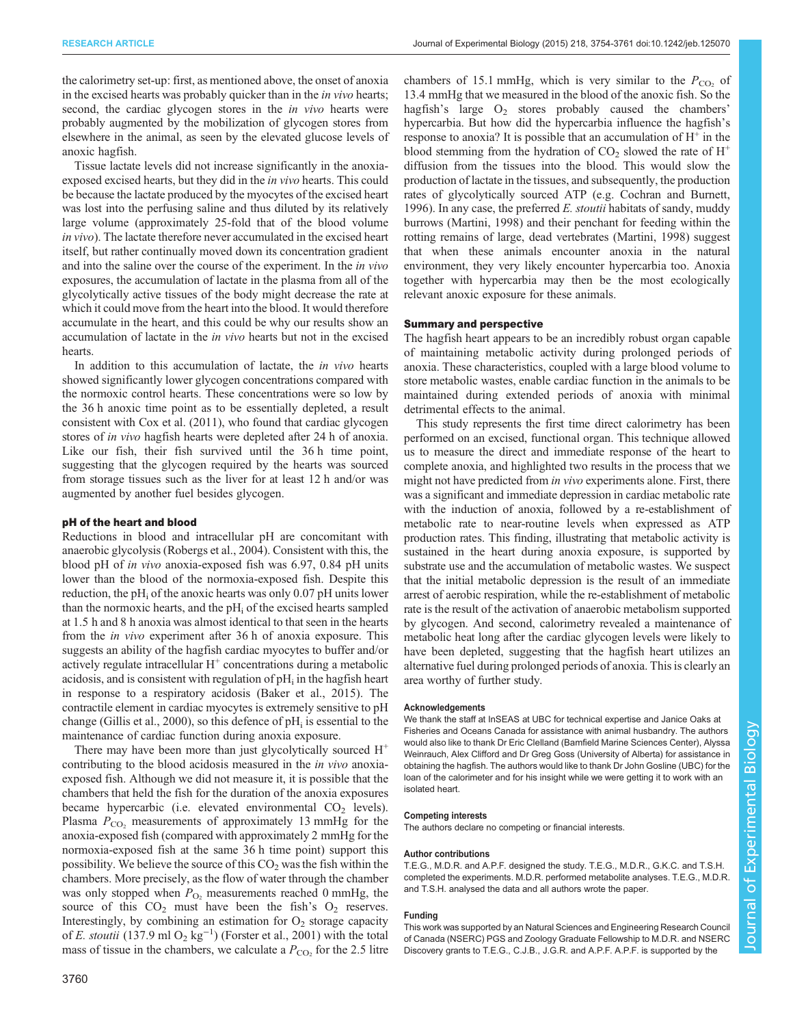chambers of 15.1 mmHg, which is very similar to the  $P_{\text{CO}_2}$  of

the calorimetry set-up: first, as mentioned above, the onset of anoxia in the excised hearts was probably quicker than in the *in vivo* hearts; second, the cardiac glycogen stores in the *in vivo* hearts were probably augmented by the mobilization of glycogen stores from elsewhere in the animal, as seen by the elevated glucose levels of anoxic hagfish.

Tissue lactate levels did not increase significantly in the anoxiaexposed excised hearts, but they did in the in vivo hearts. This could be because the lactate produced by the myocytes of the excised heart was lost into the perfusing saline and thus diluted by its relatively large volume (approximately 25-fold that of the blood volume in vivo). The lactate therefore never accumulated in the excised heart itself, but rather continually moved down its concentration gradient and into the saline over the course of the experiment. In the in vivo exposures, the accumulation of lactate in the plasma from all of the glycolytically active tissues of the body might decrease the rate at which it could move from the heart into the blood. It would therefore accumulate in the heart, and this could be why our results show an accumulation of lactate in the in vivo hearts but not in the excised hearts.

In addition to this accumulation of lactate, the *in vivo* hearts showed significantly lower glycogen concentrations compared with the normoxic control hearts. These concentrations were so low by the 36 h anoxic time point as to be essentially depleted, a result consistent with [Cox et al. \(2011\)](#page-7-0), who found that cardiac glycogen stores of in vivo hagfish hearts were depleted after 24 h of anoxia. Like our fish, their fish survived until the 36 h time point, suggesting that the glycogen required by the hearts was sourced from storage tissues such as the liver for at least 12 h and/or was augmented by another fuel besides glycogen.

#### pH of the heart and blood

Reductions in blood and intracellular pH are concomitant with anaerobic glycolysis [\(Robergs et al., 2004](#page-7-0)). Consistent with this, the blood pH of in vivo anoxia-exposed fish was 6.97, 0.84 pH units lower than the blood of the normoxia-exposed fish. Despite this reduction, the  $pH_i$  of the anoxic hearts was only 0.07 pH units lower than the normoxic hearts, and the  $pH_i$  of the excised hearts sampled at 1.5 h and 8 h anoxia was almost identical to that seen in the hearts from the in vivo experiment after 36 h of anoxia exposure. This suggests an ability of the hagfish cardiac myocytes to buffer and/or actively regulate intracellular  $H^+$  concentrations during a metabolic acidosis, and is consistent with regulation of  $pH_i$  in the hagfish heart in response to a respiratory acidosis [\(Baker et al., 2015](#page-7-0)). The contractile element in cardiac myocytes is extremely sensitive to pH change [\(Gillis et al., 2000\)](#page-7-0), so this defence of  $pH_i$  is essential to the maintenance of cardiac function during anoxia exposure.

There may have been more than just glycolytically sourced  $H^+$ contributing to the blood acidosis measured in the in vivo anoxiaexposed fish. Although we did not measure it, it is possible that the chambers that held the fish for the duration of the anoxia exposures became hypercarbic (i.e. elevated environmental  $CO<sub>2</sub>$  levels). Plasma  $P_{CO_2}$  measurements of approximately 13 mmHg for the anoxia-exposed fish (compared with approximately 2 mmHg for the normoxia-exposed fish at the same 36 h time point) support this possibility. We believe the source of this  $CO<sub>2</sub>$  was the fish within the chambers. More precisely, as the flow of water through the chamber was only stopped when  $P_{\text{O}_2}$  measurements reached 0 mmHg, the source of this  $CO<sub>2</sub>$  must have been the fish's  $O<sub>2</sub>$  reserves. Interestingly, by combining an estimation for  $O_2$  storage capacity of E. stoutii (137.9 ml O<sub>2</sub> kg<sup>-1</sup>) ([Forster et al., 2001\)](#page-7-0) with the total<br>mass of tissue in the chambers, we calculate a P<sub>co</sub> for the 2.5 litre mass of tissue in the chambers, we calculate a  $P_{\rm CO}$ , for the 2.5 litre

13.4 mmHg that we measured in the blood of the anoxic fish. So the hagfish's large  $O_2$  stores probably caused the chambers' hypercarbia. But how did the hypercarbia influence the hagfish's response to anoxia? It is possible that an accumulation of  $H^+$  in the blood stemming from the hydration of  $CO<sub>2</sub>$  slowed the rate of  $H<sup>+</sup>$ diffusion from the tissues into the blood. This would slow the production of lactate in the tissues, and subsequently, the production rates of glycolytically sourced ATP (e.g. [Cochran and Burnett,](#page-7-0) [1996\)](#page-7-0). In any case, the preferred  $E$ . *stoutii* habitats of sandy, muddy burrows [\(Martini, 1998\)](#page-7-0) and their penchant for feeding within the rotting remains of large, dead vertebrates ([Martini, 1998](#page-7-0)) suggest that when these animals encounter anoxia in the natural environment, they very likely encounter hypercarbia too. Anoxia together with hypercarbia may then be the most ecologically relevant anoxic exposure for these animals.

### Summary and perspective

The hagfish heart appears to be an incredibly robust organ capable of maintaining metabolic activity during prolonged periods of anoxia. These characteristics, coupled with a large blood volume to store metabolic wastes, enable cardiac function in the animals to be maintained during extended periods of anoxia with minimal detrimental effects to the animal.

This study represents the first time direct calorimetry has been performed on an excised, functional organ. This technique allowed us to measure the direct and immediate response of the heart to complete anoxia, and highlighted two results in the process that we might not have predicted from *in vivo* experiments alone. First, there was a significant and immediate depression in cardiac metabolic rate with the induction of anoxia, followed by a re-establishment of metabolic rate to near-routine levels when expressed as ATP production rates. This finding, illustrating that metabolic activity is sustained in the heart during anoxia exposure, is supported by substrate use and the accumulation of metabolic wastes. We suspect that the initial metabolic depression is the result of an immediate arrest of aerobic respiration, while the re-establishment of metabolic rate is the result of the activation of anaerobic metabolism supported by glycogen. And second, calorimetry revealed a maintenance of metabolic heat long after the cardiac glycogen levels were likely to have been depleted, suggesting that the hagfish heart utilizes an alternative fuel during prolonged periods of anoxia. This is clearly an area worthy of further study.

#### Acknowledgements

We thank the staff at InSEAS at UBC for technical expertise and Janice Oaks at Fisheries and Oceans Canada for assistance with animal husbandry. The authors would also like to thank Dr Eric Clelland (Bamfield Marine Sciences Center), Alyssa Weinrauch, Alex Clifford and Dr Greg Goss (University of Alberta) for assistance in obtaining the hagfish. The authors would like to thank Dr John Gosline (UBC) for the loan of the calorimeter and for his insight while we were getting it to work with an isolated heart.

#### Competing interests

The authors declare no competing or financial interests.

#### Author contributions

T.E.G., M.D.R. and A.P.F. designed the study. T.E.G., M.D.R., G.K.C. and T.S.H. completed the experiments. M.D.R. performed metabolite analyses. T.E.G., M.D.R. and T.S.H. analysed the data and all authors wrote the paper.

#### Funding

This work was supported by an Natural Sciences and Engineering Research Council of Canada (NSERC) PGS and Zoology Graduate Fellowship to M.D.R. and NSERC Discovery grants to T.E.G., C.J.B., J.G.R. and A.P.F. A.P.F. is supported by the